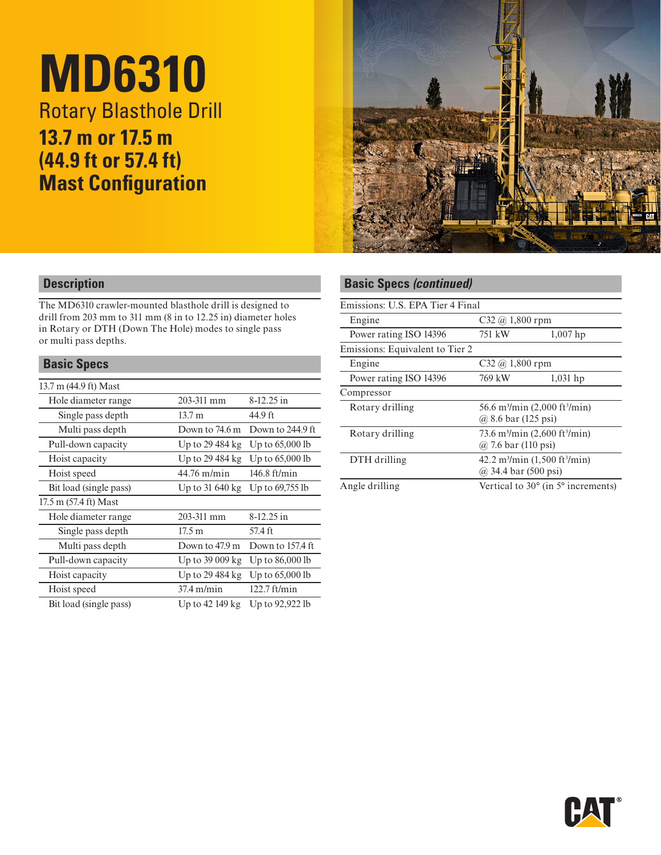# **MD6310** Rotary Blasthole Drill **13.7 m or 17.5 m (44.9 ft or 57.4 ft) Mast Configuration**



# **Description**

The MD6310 crawler-mounted blasthole drill is designed to drill from 203 mm to 311 mm (8 in to 12.25 in) diameter holes in Rotary or DTH (Down The Hole) modes to single pass or multi pass depths.

# **Basic Specs**

| 13.7 m (44.9 ft) Mast  |                          |                   |  |
|------------------------|--------------------------|-------------------|--|
| Hole diameter range    | 203-311 mm               | $8-12.25$ in      |  |
| Single pass depth      | 13.7 m                   | 44.9 ft           |  |
| Multi pass depth       | Down to 74.6 m           | Down to 244.9 ft  |  |
| Pull-down capacity     | Up to 29 484 kg          | Up to $65,000$ lb |  |
| Hoist capacity         | Up to 29 484 kg          | Up to $65,000$ lb |  |
| Hoist speed            | $44.76$ m/min            | $146.8$ ft/min    |  |
| Bit load (single pass) | Up to 31 640 kg          | Up to $69,755$ lb |  |
| 17.5 m (57.4 ft) Mast  |                          |                   |  |
| Hole diameter range    | 203-311 mm               | $8-12.25$ in      |  |
| Single pass depth      | 17.5 m                   | 57.4 ft           |  |
| Multi pass depth       | Down to 47.9 m           | Down to 157.4 ft. |  |
| Pull-down capacity     | Up to $39009 \text{ kg}$ | Up to $86,000$ lb |  |
| Hoist capacity         | Up to 29 484 kg          | Up to $65,000$ lb |  |
| Hoist speed            | $37.4$ m/min             | $122.7$ ft/min    |  |
| Bit load (single pass) | Up to 42 149 kg          | Up to 92,922 lb   |  |
|                        |                          |                   |  |

# **Basic Specs** *(continued)*

| Emissions: U.S. EPA Tier 4 Final |                                                                                        |                                                      |  |
|----------------------------------|----------------------------------------------------------------------------------------|------------------------------------------------------|--|
| Engine                           | $C32 @ 1,800$ rpm                                                                      |                                                      |  |
| Power rating ISO 14396           | 751 kW                                                                                 | $1,007$ hp                                           |  |
| Emissions: Equivalent to Tier 2  |                                                                                        |                                                      |  |
| Engine                           | $C32 @ 1,800$ rpm                                                                      |                                                      |  |
| Power rating ISO 14396           | 769 kW                                                                                 | $1,031$ hp                                           |  |
| Compressor                       |                                                                                        |                                                      |  |
| Rotary drilling                  | 56.6 m <sup>3</sup> /min (2,000 ft <sup>3</sup> /min)<br>@ 8.6 bar $(125 \text{ psi})$ |                                                      |  |
|                                  |                                                                                        |                                                      |  |
| Rotary drilling                  | 73.6 m <sup>3</sup> /min $(2,600 \text{ ft}^3/\text{min})$<br>@ 7.6 bar (110 psi)      |                                                      |  |
|                                  |                                                                                        |                                                      |  |
| DTH drilling                     | $42.2 \text{ m}^3/\text{min}$ (1,500 ft <sup>3</sup> /min)<br>@ 34.4 bar (500 psi)     |                                                      |  |
|                                  |                                                                                        |                                                      |  |
| Angle drilling                   |                                                                                        | Vertical to $30^{\circ}$ (in $5^{\circ}$ increments) |  |
|                                  |                                                                                        |                                                      |  |

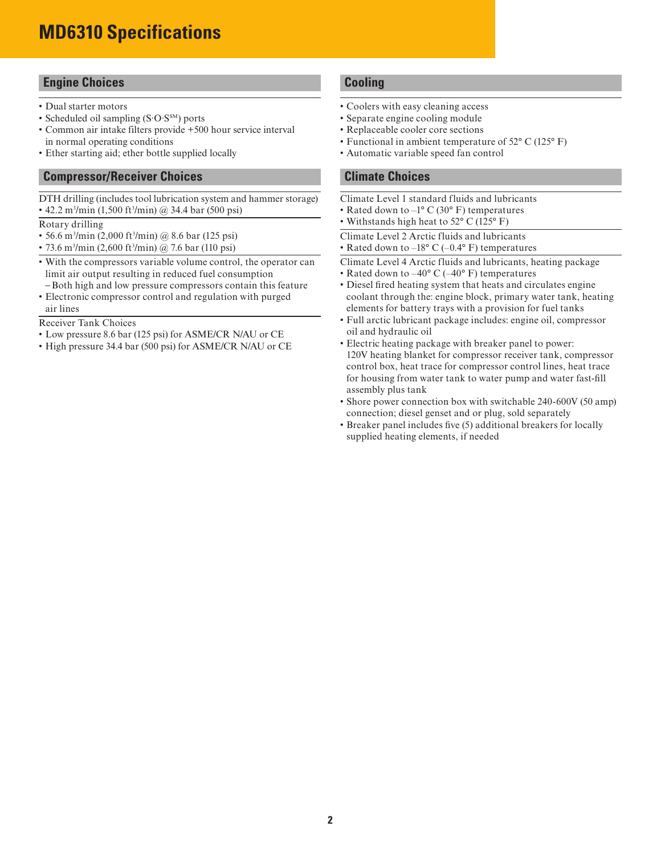# **MD6310 Specifications**

# **Engine Choices**

- Dual starter motors
- Scheduled oil sampling (S∙O∙SSM) ports
- Common air intake filters provide +500 hour service interval in normal operating conditions
- Ether starting aid; ether bottle supplied locally

# **Compressor/Receiver Choices**

DTH drilling (includes tool lubrication system and hammer storage) • 42.2 m3 /min (1,500 ft3 /min) @ 34.4 bar (500 psi)

#### Rotary drilling

- 56.6 m<sup>3</sup>/min (2,000 ft<sup>3</sup>/min) @ 8.6 bar (125 psi)
- 73.6 m<sup>3</sup>/min (2,600 ft<sup>3</sup>/min) @ 7.6 bar (110 psi)
- With the compressors variable volume control, the operator can limit air output resulting in reduced fuel consumption
- Both high and low pressure compressors contain this feature • Electronic compressor control and regulation with purged air lines

Receiver Tank Choices

- Low pressure 8.6 bar (125 psi) for ASME/CR N/AU or CE
- High pressure 34.4 bar (500 psi) for ASME/CR N/AU or CE

# **Cooling**

- Coolers with easy cleaning access
- Separate engine cooling module
- Replaceable cooler core sections
- Functional in ambient temperature of 52° C (125° F)
- Automatic variable speed fan control

# **Climate Choices**

- Climate Level 1 standard fluids and lubricants
- Rated down to  $-1^{\circ}$  C (30° F) temperatures
- Withstands high heat to 52° C (125° F)
- Climate Level 2 Arctic fluids and lubricants
- Rated down to  $-18^{\circ}$  C ( $-0.4^{\circ}$  F) temperatures
- Climate Level 4 Arctic fluids and lubricants, heating package
- Rated down to  $-40^{\circ}$  C ( $-40^{\circ}$  F) temperatures
- Diesel fired heating system that heats and circulates engine coolant through the: engine block, primary water tank, heating elements for battery trays with a provision for fuel tanks
- Full arctic lubricant package includes: engine oil, compressor oil and hydraulic oil
- Electric heating package with breaker panel to power: 120V heating blanket for compressor receiver tank, compressor control box, heat trace for compressor control lines, heat trace for housing from water tank to water pump and water fast-fill assembly plus tank
- Shore power connection box with switchable 240-600V (50 amp) connection; diesel genset and or plug, sold separately
- Breaker panel includes five (5) additional breakers for locally supplied heating elements, if needed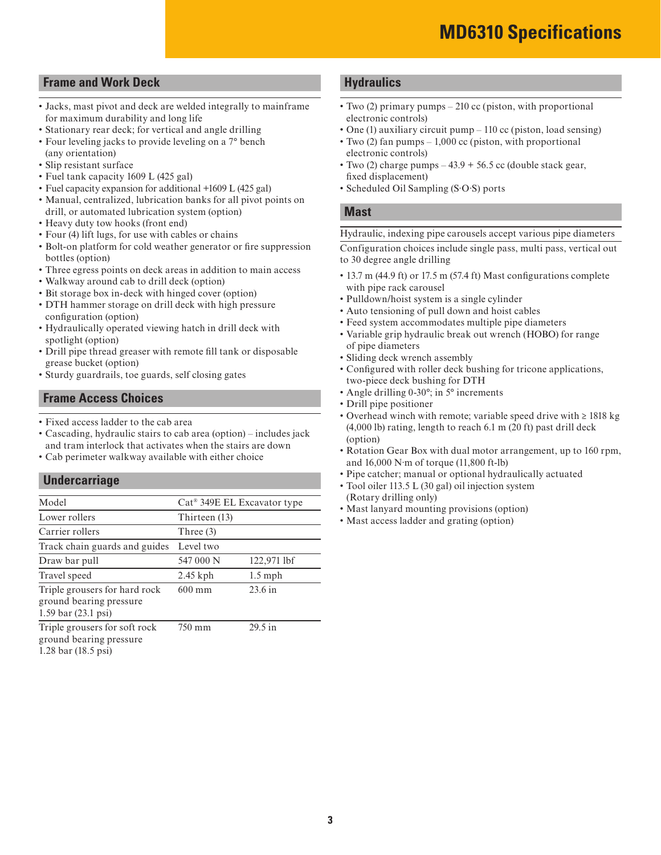# **Frame and Work Deck**

- Jacks, mast pivot and deck are welded integrally to mainframe for maximum durability and long life
- Stationary rear deck; for vertical and angle drilling
- Four leveling jacks to provide leveling on a 7° bench (any orientation)
- Slip resistant surface
- Fuel tank capacity 1609 L (425 gal)
- Fuel capacity expansion for additional +1609 L (425 gal)
- Manual, centralized, lubrication banks for all pivot points on drill, or automated lubrication system (option)
- Heavy duty tow hooks (front end)
- Four (4) lift lugs, for use with cables or chains
- Bolt-on platform for cold weather generator or fire suppression bottles (option)
- Three egress points on deck areas in addition to main access
- Walkway around cab to drill deck (option)
- Bit storage box in-deck with hinged cover (option)
- DTH hammer storage on drill deck with high pressure configuration (option)
- Hydraulically operated viewing hatch in drill deck with spotlight (option)
- Drill pipe thread greaser with remote fill tank or disposable grease bucket (option)
- Sturdy guardrails, toe guards, self closing gates

# **Frame Access Choices**

- Fixed access ladder to the cab area
- Cascading, hydraulic stairs to cab area (option) includes jack and tram interlock that activates when the stairs are down
- Cab perimeter walkway available with either choice

# **Undercarriage**

| Model                                                                                     | Cat <sup>®</sup> 349E EL Excavator type |             |
|-------------------------------------------------------------------------------------------|-----------------------------------------|-------------|
| Lower rollers                                                                             | Thirteen (13)                           |             |
| Carrier rollers                                                                           | Three $(3)$                             |             |
| Track chain guards and guides                                                             | Level two                               |             |
| Draw bar pull                                                                             | 547 000 N                               | 122,971 lbf |
| Travel speed                                                                              | $2.45$ kph                              | $1.5$ mph   |
| Triple grousers for hard rock<br>ground bearing pressure<br>1.59 bar $(23.1 \text{ psi})$ | $600 \text{ mm}$                        | $23.6$ in   |
| Triple grousers for soft rock<br>ground bearing pressure<br>1.28 bar $(18.5 \text{ psi})$ | 750 mm                                  | $29.5$ in   |

# **Hydraulics**

- Two (2) primary pumps 210 cc (piston, with proportional electronic controls)
- One (1) auxiliary circuit pump 110 cc (piston, load sensing)
- Two (2) fan pumps 1,000 cc (piston, with proportional electronic controls)
- Two (2) charge pumps  $-43.9 + 56.5$  cc (double stack gear, fixed displacement)
- Scheduled Oil Sampling (S∙O∙S) ports

#### **Mast**

Hydraulic, indexing pipe carousels accept various pipe diameters

Configuration choices include single pass, multi pass, vertical out to 30 degree angle drilling

- 13.7 m (44.9 ft) or 17.5 m (57.4 ft) Mast configurations complete with pipe rack carousel
- Pulldown/hoist system is a single cylinder
- Auto tensioning of pull down and hoist cables
- Feed system accommodates multiple pipe diameters
- Variable grip hydraulic break out wrench (HOBO) for range of pipe diameters
- Sliding deck wrench assembly
- Configured with roller deck bushing for tricone applications, two-piece deck bushing for DTH
- Angle drilling 0-30°; in 5° increments
- Drill pipe positioner
- Overhead winch with remote; variable speed drive with ≥ 1818 kg (4,000 lb) rating, length to reach 6.1 m (20 ft) past drill deck (option)
- Rotation Gear Box with dual motor arrangement, up to 160 rpm, and 16,000 N∙m of torque (11,800 ft-lb)
- Pipe catcher; manual or optional hydraulically actuated
- Tool oiler 113.5 L (30 gal) oil injection system (Rotary drilling only)
- Mast lanyard mounting provisions (option)
- Mast access ladder and grating (option)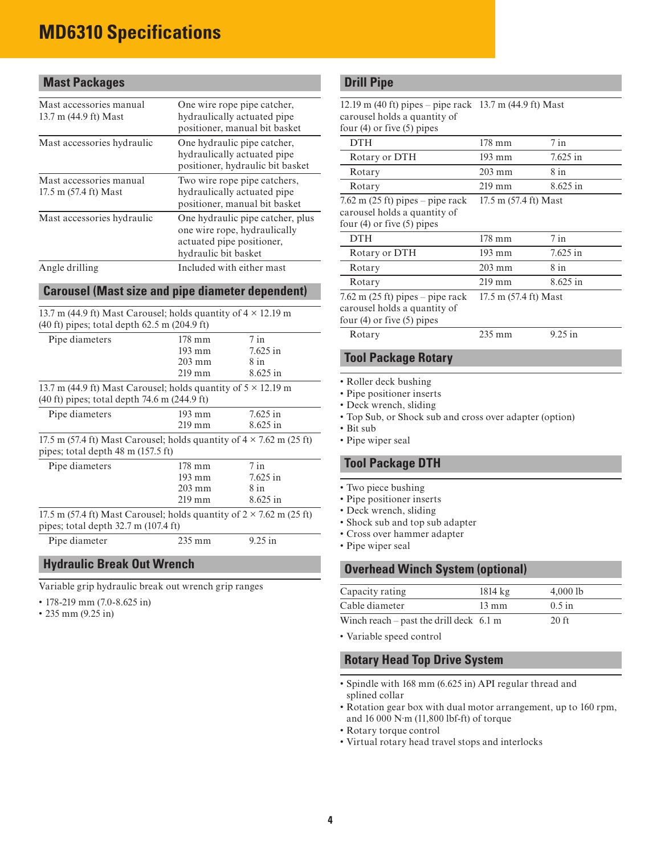# **MD6310 Specifications**

# **Mast Packages**

| Mast accessories manual<br>13.7 m (44.9 ft) Mast | One wire rope pipe catcher,<br>hydraulically actuated pipe<br>positioner, manual bit basket                           |
|--------------------------------------------------|-----------------------------------------------------------------------------------------------------------------------|
| Mast accessories hydraulic                       | One hydraulic pipe catcher,<br>hydraulically actuated pipe<br>positioner, hydraulic bit basket                        |
| Mast accessories manual<br>17.5 m (57.4 ft) Mast | Two wire rope pipe catchers,<br>hydraulically actuated pipe<br>positioner, manual bit basket                          |
| Mast accessories hydraulic                       | One hydraulic pipe catcher, plus<br>one wire rope, hydraulically<br>actuated pipe positioner,<br>hydraulic bit basket |
| Angle drilling                                   | Included with either mast                                                                                             |

### **Carousel (Mast size and pipe diameter dependent)**

13.7 m (44.9 ft) Mast Carousel; holds quantity of  $4 \times 12.19$  m (40 ft) pipes; total depth 62.5 m (204.9 ft)

| Pipe diameters                                                              | $178 \text{ mm}$ | $7$ in     |  |  |  |
|-----------------------------------------------------------------------------|------------------|------------|--|--|--|
|                                                                             | $193 \text{ mm}$ | $7.625$ in |  |  |  |
|                                                                             | $203 \text{ mm}$ | 8 in       |  |  |  |
|                                                                             | $219$ mm         | 8.625 in   |  |  |  |
| 13.7 m (44.9 ft) Mast Carousel; holds quantity of $5 \times 12.19$ m        |                  |            |  |  |  |
| $(40 \text{ ft})$ pipes; total depth 74.6 m $(244.9 \text{ ft})$            |                  |            |  |  |  |
| Pipe diameters                                                              | $193 \text{ mm}$ | $7.625$ in |  |  |  |
|                                                                             | $219$ mm         | $8.625$ in |  |  |  |
| 17.5 m (57.4 ft) Mast Carousel; holds quantity of $4 \times 7.62$ m (25 ft) |                  |            |  |  |  |
| pipes; total depth $48 \text{ m}$ (157.5 ft)                                |                  |            |  |  |  |
| Pipe diameters                                                              | 178 mm           | $7$ in     |  |  |  |
|                                                                             | $193 \text{ mm}$ | $7.625$ in |  |  |  |
|                                                                             | $203 \text{ mm}$ | 8 in       |  |  |  |
|                                                                             | $219$ mm         | $8.625$ in |  |  |  |
| 17.5 m (57.4 ft) Mast Carousel; holds quantity of $2 \times 7.62$ m (25 ft) |                  |            |  |  |  |
| pipes; total depth $32.7$ m (107.4 ft)                                      |                  |            |  |  |  |
| Pipe diameter                                                               | $9.25$ in        |            |  |  |  |
|                                                                             |                  |            |  |  |  |

# **Hydraulic Break Out Wrench**

Variable grip hydraulic break out wrench grip ranges

- 178-219 mm (7.0-8.625 in)
- 235 mm (9.25 in)

# **Drill Pipe**

| 12.19 m (40 ft) pipes – pipe rack 13.7 m (44.9 ft) Mast |                       |            |
|---------------------------------------------------------|-----------------------|------------|
| carousel holds a quantity of                            |                       |            |
| four $(4)$ or five $(5)$ pipes                          |                       |            |
| <b>DTH</b>                                              | $178 \text{ mm}$      | $7$ in     |
| Rotary or DTH                                           | 193 mm                | $7.625$ in |
| Rotary                                                  | $203 \text{ mm}$      | $8$ in     |
| Rotary                                                  | $219 \text{ mm}$      | 8.625 in   |
| $7.62$ m (25 ft) pipes – pipe rack                      | 17.5 m (57.4 ft) Mast |            |
| carousel holds a quantity of                            |                       |            |
| four $(4)$ or five $(5)$ pipes                          |                       |            |
| <b>DTH</b>                                              | 178 mm                | $7$ in     |
| Rotary or DTH                                           | $193 \text{ mm}$      | $7.625$ in |
| Rotary                                                  | $203 \text{ mm}$      | $8$ in     |
| Rotary                                                  | $219$ mm              | $8.625$ in |
| $7.62 \text{ m}$ (25 ft) pipes – pipe rack              | 17.5 m (57.4 ft) Mast |            |
| carousel holds a quantity of                            |                       |            |
| four $(4)$ or five $(5)$ pipes                          |                       |            |
| Rotary                                                  | $235 \text{ mm}$      | $9.25$ in  |
|                                                         |                       |            |
| <b>Tool Package Rotary</b>                              |                       |            |
|                                                         |                       |            |

- Roller deck bushing
- Pipe positioner inserts
- Deck wrench, sliding
- Top Sub, or Shock sub and cross over adapter (option)
- Bit sub
- Pipe wiper seal

# **Tool Package DTH**

- Two piece bushing
- Pipe positioner inserts
- Deck wrench, sliding
- Shock sub and top sub adapter
- Cross over hammer adapter
- Pipe wiper seal

# **Overhead Winch System (optional)**

| Capacity rating                                   | $1814 \text{ kg}$ | $4,000$ lb |
|---------------------------------------------------|-------------------|------------|
| Cable diameter                                    | $13 \text{ mm}$   | $0.5$ in   |
| Winch reach – past the drill deck $6.1 \text{ m}$ |                   | $20$ ft    |

• Variable speed control

#### **Rotary Head Top Drive System**

- Spindle with 168 mm (6.625 in) API regular thread and splined collar
- Rotation gear box with dual motor arrangement, up to 160 rpm, and 16 000 N∙m (11,800 lbf-ft) of torque
- Rotary torque control
- Virtual rotary head travel stops and interlocks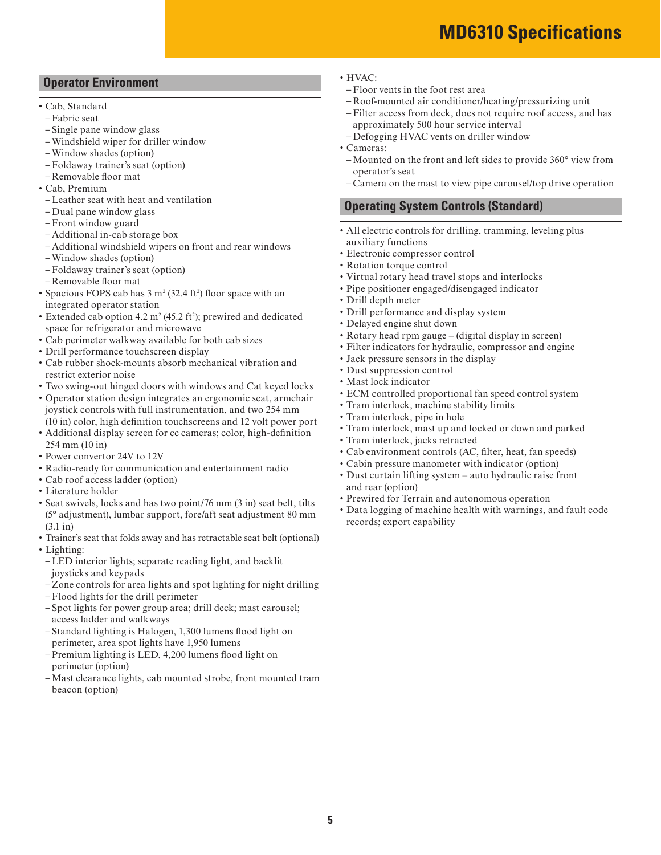- 
- Rotation torque control
- Virtual rotary head travel stops and interlocks
- Pipe positioner engaged/disengaged indicator
- Drill depth meter
- 
- 
- 
- Filter indicators for hydraulic, compressor and engine
- 
- 
- 
- 
- Tram interlock, machine stability limits
- Tram interlock, pipe in hole
- Tram interlock, mast up and locked or down and parked
- Tram interlock, jacks retracted
- Cab environment controls (AC, filter, heat, fan speeds)
- 
- Dust curtain lifting system auto hydraulic raise front and rear (option)
- Prewired for Terrain and autonomous operation
- Data logging of machine health with warnings, and fault code records; export capability

#### • HVAC:

- Floor vents in the foot rest area
- Roof-mounted air conditioner/heating/pressurizing unit
- Filter access from deck, does not require roof access, and has approximately 500 hour service interval
- Defogging HVAC vents on driller window
- Cameras:
- Mounted on the front and left sides to provide 360° view from operator's seat
- Camera on the mast to view pipe carousel/top drive operation

# **Operating System Controls (Standard)**

- All electric controls for drilling, tramming, leveling plus auxiliary functions
- Electronic compressor control
- 
- 
- 
- 
- Drill performance and display system
- Delayed engine shut down
- Rotary head rpm gauge (digital display in screen)
- 
- Jack pressure sensors in the display
- Dust suppression control
- Mast lock indicator
- ECM controlled proportional fan speed control system
- 
- 
- 
- 
- 
- Cabin pressure manometer with indicator (option)
- 
- 
- 

# **Operator Environment**

- Cab, Standard
- Fabric seat
- Single pane window glass
- Windshield wiper for driller window
- Window shades (option)
- Foldaway trainer's seat (option) – Removable floor mat
- Cab, Premium
- Leather seat with heat and ventilation
- Dual pane window glass
- Front window guard
- Additional in-cab storage box
- Additional windshield wipers on front and rear windows
- Window shades (option)
- Foldaway trainer's seat (option)
- Removable floor mat
- Spacious FOPS cab has  $3 \text{ m}^2 (32.4 \text{ ft}^2)$  floor space with an integrated operator station
- Extended cab option 4.2  $m^2$  (45.2 ft<sup>2</sup>); prewired and dedicated space for refrigerator and microwave
- Cab perimeter walkway available for both cab sizes
- Drill performance touchscreen display
- Cab rubber shock-mounts absorb mechanical vibration and restrict exterior noise
- Two swing-out hinged doors with windows and Cat keyed locks
- Operator station design integrates an ergonomic seat, armchair joystick controls with full instrumentation, and two 254 mm (10 in) color, high definition touchscreens and 12 volt power port
- Additional display screen for cc cameras; color, high-definition 254 mm (10 in)
- Power convertor 24V to 12V
- Radio-ready for communication and entertainment radio
- Cab roof access ladder (option)
- Literature holder
- Seat swivels, locks and has two point/76 mm (3 in) seat belt, tilts (5° adjustment), lumbar support, fore/aft seat adjustment 80 mm (3.1 in)
- Trainer's seat that folds away and has retractable seat belt (optional)
- Lighting:
- LED interior lights; separate reading light, and backlit joysticks and keypads
- Zone controls for area lights and spot lighting for night drilling
- Flood lights for the drill perimeter
- Spot lights for power group area; drill deck; mast carousel; access ladder and walkways
- Standard lighting is Halogen, 1,300 lumens flood light on perimeter, area spot lights have 1,950 lumens
- Premium lighting is LED, 4,200 lumens flood light on perimeter (option)
- Mast clearance lights, cab mounted strobe, front mounted tram beacon (option)

# **MD6310 Specifications**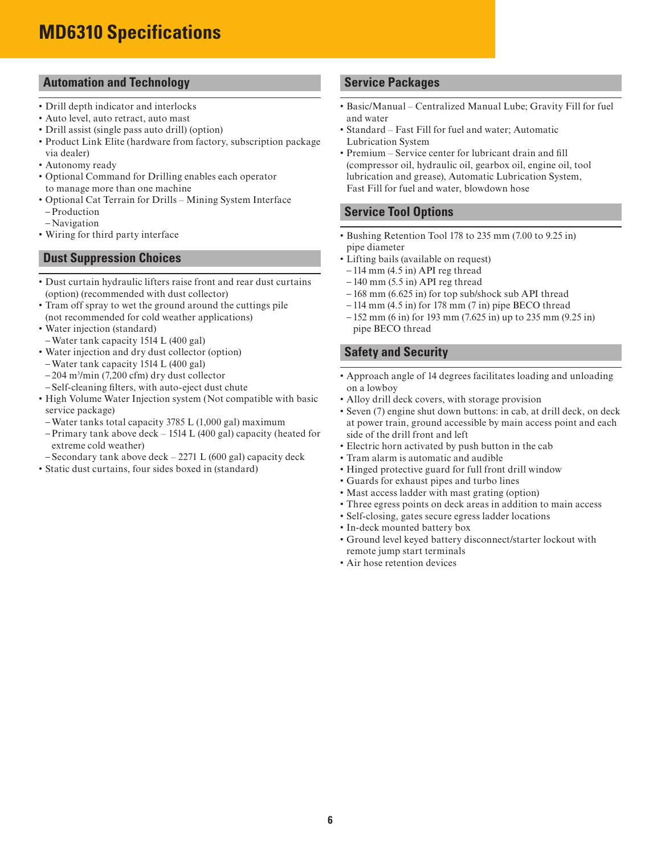# **MD6310 Specifications**

# **Automation and Technology**

- Drill depth indicator and interlocks
- Auto level, auto retract, auto mast
- Drill assist (single pass auto drill) (option)
- Product Link Elite (hardware from factory, subscription package via dealer)
- Autonomy ready
- Optional Command for Drilling enables each operator to manage more than one machine
- Optional Cat Terrain for Drills Mining System Interface – Production
- Navigation
- Wiring for third party interface

# **Dust Suppression Choices**

- Dust curtain hydraulic lifters raise front and rear dust curtains (option) (recommended with dust collector)
- Tram off spray to wet the ground around the cuttings pile (not recommended for cold weather applications)
- Water injection (standard)
- Water tank capacity 1514 L (400 gal)
- Water injection and dry dust collector (option)
- Water tank capacity 1514 L (400 gal)
- 204 m3 /min (7,200 cfm) dry dust collector
- Self-cleaning filters, with auto-eject dust chute
- High Volume Water Injection system (Not compatible with basic service package)
- Water tanks total capacity 3785 L (1,000 gal) maximum
- Primary tank above deck 1514 L (400 gal) capacity (heated for extreme cold weather)
- Secondary tank above deck 2271 L (600 gal) capacity deck
- Static dust curtains, four sides boxed in (standard)

# **Service Packages**

- Basic/Manual Centralized Manual Lube; Gravity Fill for fuel and water
- Standard Fast Fill for fuel and water; Automatic Lubrication System
- Premium Service center for lubricant drain and fill (compressor oil, hydraulic oil, gearbox oil, engine oil, tool lubrication and grease), Automatic Lubrication System, Fast Fill for fuel and water, blowdown hose

# **Service Tool Options**

- Bushing Retention Tool 178 to 235 mm (7.00 to 9.25 in) pipe diameter
- Lifting bails (available on request)
- $-114$  mm  $(4.5$  in) API reg thread
- $-140$  mm  $(5.5 \text{ in})$  API reg thread
- 168 mm (6.625 in) for top sub/shock sub API thread
- $-114$  mm (4.5 in) for 178 mm (7 in) pipe BECO thread
- 152 mm (6 in) for 193 mm (7.625 in) up to 235 mm (9.25 in) pipe BECO thread

### **Safety and Security**

- Approach angle of 14 degrees facilitates loading and unloading on a lowboy
- Alloy drill deck covers, with storage provision
- Seven (7) engine shut down buttons: in cab, at drill deck, on deck at power train, ground accessible by main access point and each side of the drill front and left
- Electric horn activated by push button in the cab
- Tram alarm is automatic and audible
- Hinged protective guard for full front drill window
- Guards for exhaust pipes and turbo lines
- Mast access ladder with mast grating (option)
- Three egress points on deck areas in addition to main access
- Self-closing, gates secure egress ladder locations
- In-deck mounted battery box
- Ground level keyed battery disconnect/starter lockout with remote jump start terminals
- Air hose retention devices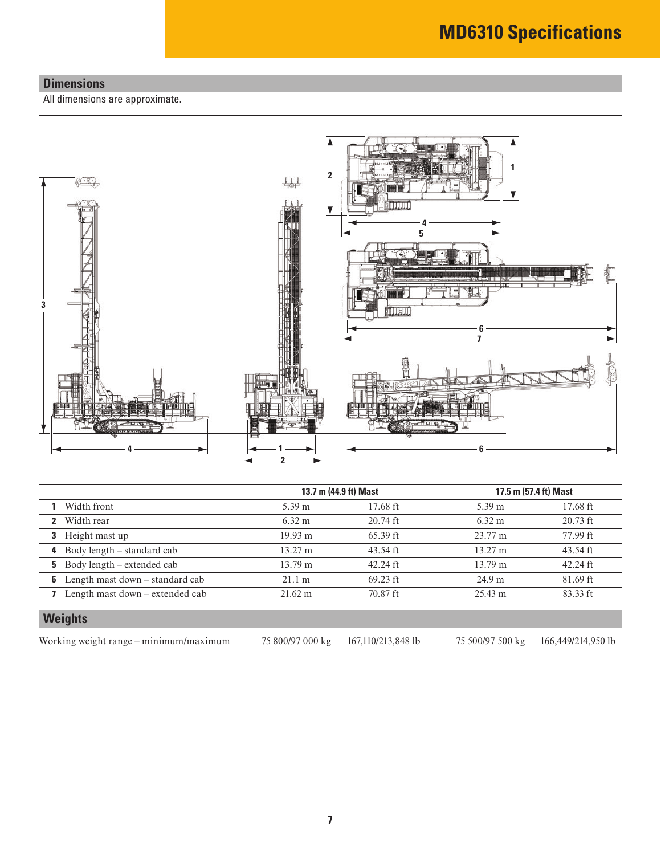# **Dimensions**

All dimensions are approximate.



|   |                                          | 13.7 m (44.9 ft) Mast |            | 17.5 m (57.4 ft) Mast |            |  |
|---|------------------------------------------|-----------------------|------------|-----------------------|------------|--|
|   | <b>1</b> Width front                     | 5.39 m                | $17.68$ ft | $5.39 \text{ m}$      | $17.68$ ft |  |
|   | 2 Width rear                             | $6.32 \text{ m}$      | $20.74$ ft | $6.32 \text{ m}$      | $20.73$ ft |  |
|   | 3 Height mast up                         | 19.93 m               | $65.39$ ft | $23.77 \text{ m}$     | 77.99 ft   |  |
|   | 4 Body length $-$ standard cab           | $13.27 \text{ m}$     | 43.54 ft   | $13.27 \text{ m}$     | 43.54 ft   |  |
|   | <b>5</b> Body length – extended cab      | $13.79 \text{ m}$     | $42.24$ ft | 13.79 m               | $42.24$ ft |  |
| 6 | Length mast down – standard cab          | 21.1 m                | $69.23$ ft | 24.9 m                | 81.69 ft   |  |
|   | <b>7</b> Length mast down – extended cab | $21.62 \text{ m}$     | $70.87$ ft | $25.43 \text{ m}$     | $83.33$ ft |  |
|   | <b>Weights</b>                           |                       |            |                       |            |  |

Working weight range – minimum/maximum 75 800/97 000 kg 167,110/213,848 lb 75 500/97 500 kg 166,449/214,950 lb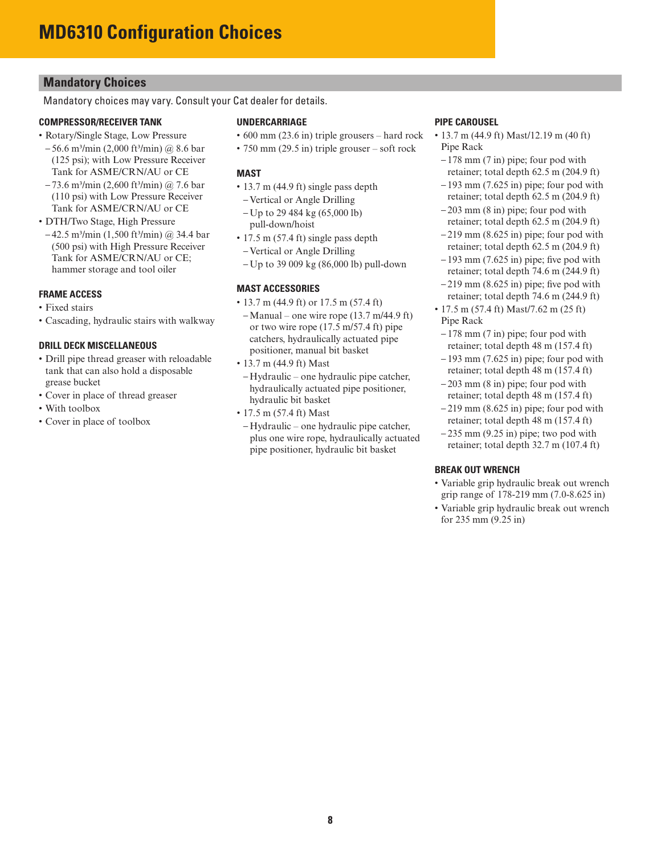# **Mandatory Choices**

Mandatory choices may vary. Consult your Cat dealer for details.

#### **COMPRESSOR/RECEIVER TANK**

- Rotary/Single Stage, Low Pressure
- $-56.6$  m<sup>3</sup>/min (2,000 ft<sup>3</sup>/min) @ 8.6 bar (125 psi); with Low Pressure Receiver Tank for ASME/CRN/AU or CE
- $-73.6$  m<sup>3</sup>/min (2,600 ft<sup>3</sup>/min) @ 7.6 bar (110 psi) with Low Pressure Receiver Tank for ASME/CRN/AU or CE
- DTH/Two Stage, High Pressure
- $-42.5$  m<sup>3</sup>/min (1,500 ft<sup>3</sup>/min) @ 34.4 bar (500 psi) with High Pressure Receiver Tank for ASME/CRN/AU or CE; hammer storage and tool oiler

#### **FRAME ACCESS**

- Fixed stairs
- Cascading, hydraulic stairs with walkway

#### **DRILL DECK MISCELLANEOUS**

- Drill pipe thread greaser with reloadable tank that can also hold a disposable grease bucket
- Cover in place of thread greaser
- With toolbox
- Cover in place of toolbox

#### **UNDERCARRIAGE**

- 600 mm (23.6 in) triple grousers hard rock
- 750 mm (29.5 in) triple grouser soft rock

#### **MAST**

- 13.7 m (44.9 ft) single pass depth
- Vertical or Angle Drilling
- Up to 29 484 kg (65,000 lb) pull-down/hoist
- 17.5 m (57.4 ft) single pass depth
- Vertical or Angle Drilling
- Up to 39 009 kg (86,000 lb) pull-down

#### **MAST ACCESSORIES**

- 13.7 m (44.9 ft) or 17.5 m (57.4 ft)
- Manual one wire rope (13.7 m/44.9 ft) or two wire rope (17.5 m/57.4 ft) pipe catchers, hydraulically actuated pipe positioner, manual bit basket
- 13.7 m (44.9 ft) Mast
- Hydraulic one hydraulic pipe catcher, hydraulically actuated pipe positioner, hydraulic bit basket
- 17.5 m (57.4 ft) Mast
- Hydraulic one hydraulic pipe catcher, plus one wire rope, hydraulically actuated pipe positioner, hydraulic bit basket

#### **PIPE CAROUSEL**

- 13.7 m (44.9 ft) Mast/12.19 m (40 ft) Pipe Rack
- $-178$  mm  $(7 \text{ in})$  pipe; four pod with retainer; total depth 62.5 m (204.9 ft)
- $-193$  mm (7.625 in) pipe; four pod with retainer; total depth 62.5 m (204.9 ft)
- 203 mm (8 in) pipe; four pod with retainer; total depth 62.5 m (204.9 ft)
- $-219$  mm  $(8.625$  in) pipe; four pod with retainer; total depth 62.5 m (204.9 ft)
- $-193$  mm (7.625 in) pipe; five pod with retainer; total depth 74.6 m (244.9 ft)
- $-219$  mm (8.625 in) pipe; five pod with retainer; total depth 74.6 m (244.9 ft)
- 17.5 m (57.4 ft) Mast/7.62 m (25 ft) Pipe Rack
- 178 mm (7 in) pipe; four pod with retainer; total depth 48 m (157.4 ft)
- $-193$  mm (7.625 in) pipe; four pod with retainer; total depth 48 m (157.4 ft)
- $-203$  mm  $(8 \text{ in})$  pipe; four pod with retainer; total depth 48 m (157.4 ft)
- $-219$  mm (8.625 in) pipe; four pod with retainer; total depth 48 m (157.4 ft)
- $-235$  mm (9.25 in) pipe; two pod with retainer; total depth 32.7 m (107.4 ft)

#### **BREAK OUT WRENCH**

- Variable grip hydraulic break out wrench grip range of 178-219 mm (7.0-8.625 in)
- Variable grip hydraulic break out wrench for 235 mm (9.25 in)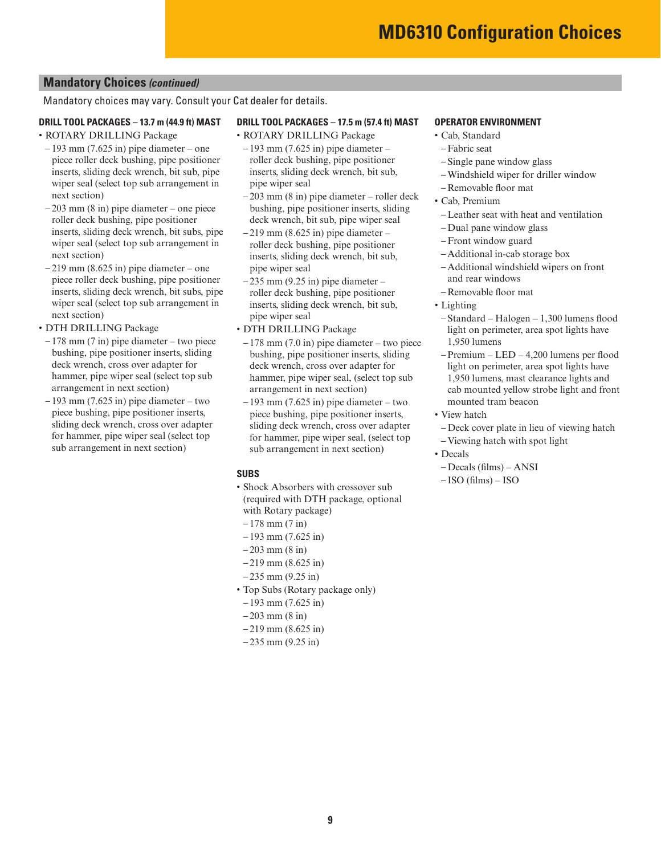# **Mandatory Choices** *(continued)*

Mandatory choices may vary. Consult your Cat dealer for details.

#### **DRILL TOOL PACKAGES – 13.7 m (44.9 ft) MAST**

- ROTARY DRILLING Package
- $-193$  mm (7.625 in) pipe diameter one piece roller deck bushing, pipe positioner inserts, sliding deck wrench, bit sub, pipe wiper seal (select top sub arrangement in next section)
- 203 mm (8 in) pipe diameter one piece roller deck bushing, pipe positioner inserts, sliding deck wrench, bit subs, pipe wiper seal (select top sub arrangement in next section)
- $-219$  mm (8.625 in) pipe diameter one piece roller deck bushing, pipe positioner inserts, sliding deck wrench, bit subs, pipe wiper seal (select top sub arrangement in next section)
- DTH DRILLING Package
- 178 mm (7 in) pipe diameter two piece bushing, pipe positioner inserts, sliding deck wrench, cross over adapter for hammer, pipe wiper seal (select top sub arrangement in next section)
- $-193$  mm (7.625 in) pipe diameter two piece bushing, pipe positioner inserts, sliding deck wrench, cross over adapter for hammer, pipe wiper seal (select top sub arrangement in next section)

#### **DRILL TOOL PACKAGES – 17.5 m (57.4 ft) MAST**

- ROTARY DRILLING Package
- $-193$  mm (7.625 in) pipe diameter roller deck bushing, pipe positioner inserts, sliding deck wrench, bit sub, pipe wiper seal
- 203 mm (8 in) pipe diameter roller deck bushing, pipe positioner inserts, sliding deck wrench, bit sub, pipe wiper seal
- $-219$  mm (8.625 in) pipe diameter roller deck bushing, pipe positioner inserts, sliding deck wrench, bit sub, pipe wiper seal
- $-235$  mm (9.25 in) pipe diameter roller deck bushing, pipe positioner inserts, sliding deck wrench, bit sub, pipe wiper seal
- DTH DRILLING Package
- $-178$  mm (7.0 in) pipe diameter two piece bushing, pipe positioner inserts, sliding deck wrench, cross over adapter for hammer, pipe wiper seal, (select top sub arrangement in next section)
- $-193$  mm (7.625 in) pipe diameter two piece bushing, pipe positioner inserts, sliding deck wrench, cross over adapter for hammer, pipe wiper seal, (select top sub arrangement in next section)

#### **SUBS**

- Shock Absorbers with crossover sub (required with DTH package, optional with Rotary package)
- $-178$  mm  $(7 \text{ in})$
- $-193$  mm (7.625 in)
- $-203$  mm  $(8 \text{ in})$
- $-219$  mm (8.625 in)
- $-235$  mm  $(9.25$  in)
- Top Subs (Rotary package only)
- $-193$  mm (7.625 in)
- $-203$  mm (8 in)
- $-219$  mm (8.625 in)
- $-235$  mm  $(9.25$  in)

#### **OPERATOR ENVIRONMENT**

• Cab, Standard

#### – Fabric seat

- Single pane window glass
- Windshield wiper for driller window
- Removable floor mat
- Cab, Premium
- Leather seat with heat and ventilation
- Dual pane window glass
- Front window guard
- Additional in-cab storage box
- Additional windshield wipers on front and rear windows
- Removable floor mat
- Lighting
- Standard Halogen 1,300 lumens flood light on perimeter, area spot lights have 1,950 lumens
- Premium LED 4,200 lumens per flood light on perimeter, area spot lights have 1,950 lumens, mast clearance lights and cab mounted yellow strobe light and front mounted tram beacon
- View hatch
	- Deck cover plate in lieu of viewing hatch
- Viewing hatch with spot light
- Decals
- Decals (films) ANSI
- ISO (films) ISO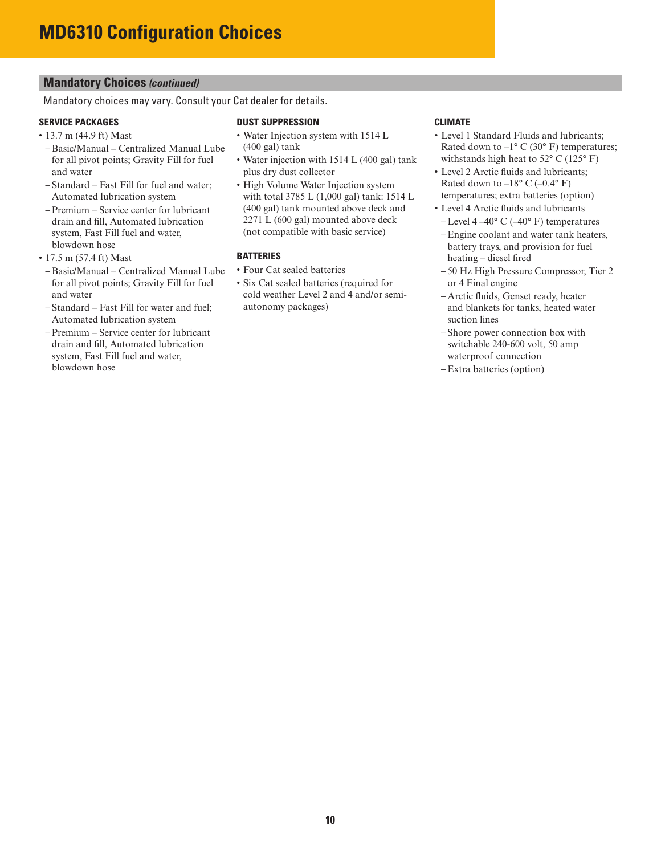# **Mandatory Choices** *(continued)*

Mandatory choices may vary. Consult your Cat dealer for details.

#### **SERVICE PACKAGES**

- 13.7 m (44.9 ft) Mast
- Basic/Manual Centralized Manual Lube for all pivot points; Gravity Fill for fuel and water
- Standard Fast Fill for fuel and water; Automated lubrication system
- Premium Service center for lubricant drain and fill, Automated lubrication system, Fast Fill fuel and water, blowdown hose
- 17.5 m (57.4 ft) Mast
- Basic/Manual Centralized Manual Lube for all pivot points; Gravity Fill for fuel and water
- Standard Fast Fill for water and fuel; Automated lubrication system
- Premium Service center for lubricant drain and fill, Automated lubrication system, Fast Fill fuel and water, blowdown hose

#### **DUST SUPPRESSION**

- Water Injection system with 1514 L (400 gal) tank
- Water injection with 1514 L (400 gal) tank plus dry dust collector
- High Volume Water Injection system with total 3785 L (1,000 gal) tank: 1514 L (400 gal) tank mounted above deck and 2271 L (600 gal) mounted above deck (not compatible with basic service)

#### **BATTERIES**

- Four Cat sealed batteries
- Six Cat sealed batteries (required for cold weather Level 2 and 4 and/or semiautonomy packages)

#### **CLIMATE**

- Level 1 Standard Fluids and lubricants; Rated down to  $-1^{\circ}$  C (30° F) temperatures; withstands high heat to 52° C (125° F)
- Level 2 Arctic fluids and lubricants; Rated down to  $-18^{\circ}$  C ( $-0.4^{\circ}$  F) temperatures; extra batteries (option)
- Level 4 Arctic fluids and lubricants
- Level 4–40 $\degree$  C (–40 $\degree$  F) temperatures
- Engine coolant and water tank heaters, battery trays, and provision for fuel heating – diesel fired
- 50 Hz High Pressure Compressor, Tier 2 or 4 Final engine
- Arctic fluids, Genset ready, heater and blankets for tanks, heated water suction lines
- Shore power connection box with switchable 240-600 volt, 50 amp waterproof connection
- Extra batteries (option)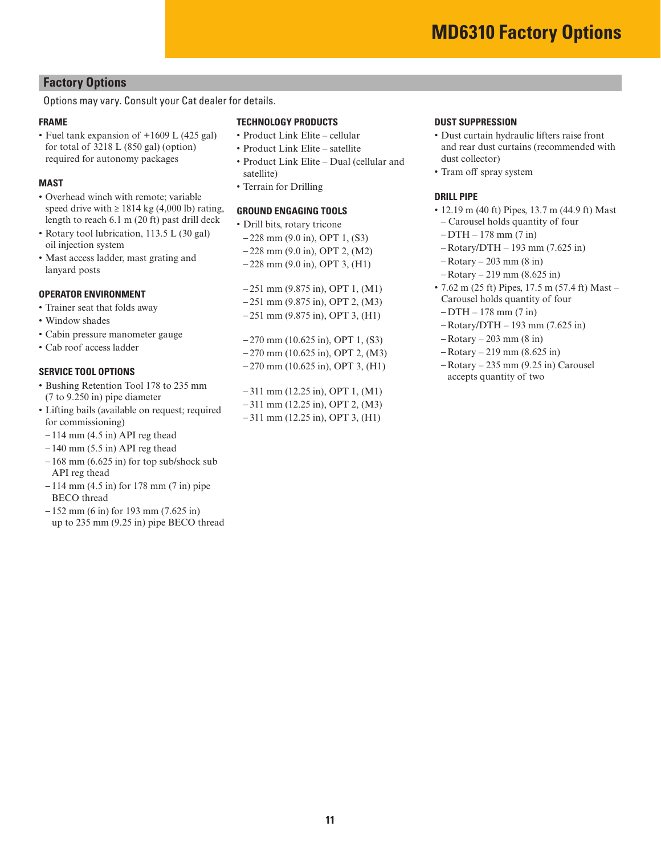# **Factory Options**

# Options may vary. Consult your Cat dealer for details.

# **FRAME**

• Fuel tank expansion of +1609 L (425 gal) for total of 3218 L (850 gal) (option) required for autonomy packages

#### **MAST**

- Overhead winch with remote; variable speed drive with  $\geq 1814$  kg (4,000 lb) rating, length to reach 6.1 m (20 ft) past drill deck
- Rotary tool lubrication, 113.5 L (30 gal) oil injection system
- Mast access ladder, mast grating and lanyard posts

#### **OPERATOR ENVIRONMENT**

- Trainer seat that folds away
- Window shades
- Cabin pressure manometer gauge
- Cab roof access ladder

#### **SERVICE TOOL OPTIONS**

- Bushing Retention Tool 178 to 235 mm (7 to 9.250 in) pipe diameter
- Lifting bails (available on request; required for commissioning)
- $-114$  mm  $(4.5$  in) API reg thead
- $-140$  mm (5.5 in) API reg thead
- $-168$  mm  $(6.625$  in) for top sub/shock sub API reg thead
- 114 mm (4.5 in) for 178 mm (7 in) pipe BECO thread
- $-152$  mm (6 in) for 193 mm (7.625 in) up to 235 mm (9.25 in) pipe BECO thread

#### **TECHNOLOGY PRODUCTS**

- Product Link Elite cellular
- Product Link Elite satellite
- Product Link Elite Dual (cellular and satellite)
- Terrain for Drilling

#### **GROUND ENGAGING TOOLS**

- Drill bits, rotary tricone
- 228 mm (9.0 in), OPT 1, (S3)
- 228 mm (9.0 in), OPT 2, (M2)
- $-228$  mm (9.0 in), OPT 3, (H1)

– 251 mm (9.875 in), OPT 1, (M1) – 251 mm (9.875 in), OPT 2, (M3) – 251 mm (9.875 in), OPT 3, (H1)

– 270 mm (10.625 in), OPT 1, (S3) – 270 mm (10.625 in), OPT 2, (M3) – 270 mm (10.625 in), OPT 3, (H1)

– 311 mm (12.25 in), OPT 1, (M1) – 311 mm (12.25 in), OPT 2, (M3) – 311 mm (12.25 in), OPT 3, (H1)

#### **DUST SUPPRESSION**

- Dust curtain hydraulic lifters raise front and rear dust curtains (recommended with dust collector)
- Tram off spray system

### **DRILL PIPE**

- 12.19 m (40 ft) Pipes, 13.7 m (44.9 ft) Mast – Carousel holds quantity of four
- $-DTH 178$  mm  $(7 \text{ in})$
- Rotary/DTH 193 mm (7.625 in)
- Rotary 203 mm (8 in)
- Rotary 219 mm (8.625 in)
- 7.62 m (25 ft) Pipes,  $17.5$  m (57.4 ft) Mast Carousel holds quantity of four
- $-DTH 178$  mm  $(7 \text{ in})$
- Rotary/DTH 193 mm (7.625 in)
- $-$  Rotary  $-$  203 mm (8 in)
- Rotary 219 mm (8.625 in)
- Rotary 235 mm (9.25 in) Carousel accepts quantity of two